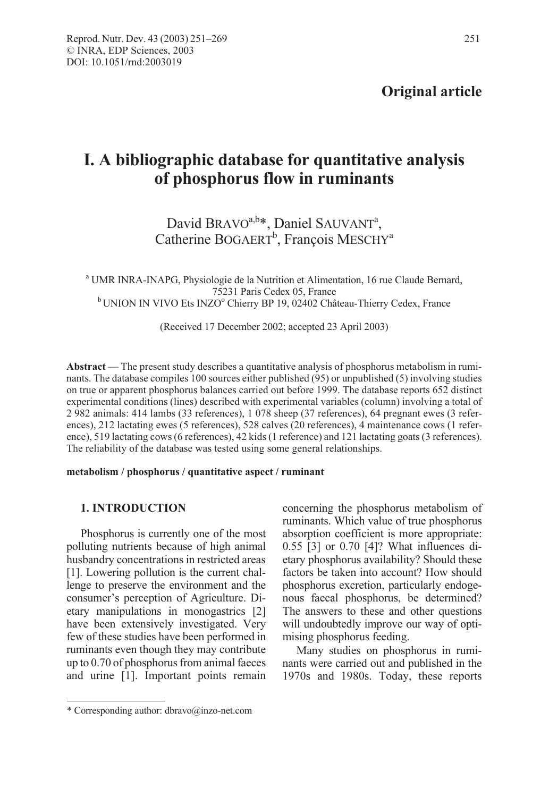# I. A bibliographic database for quantitative analysis of phosphorus flow in ruminants

## David BRAVO<sup>a,b\*</sup>, Daniel SAUVANT<sup>a</sup>, Catherine BOGAERT<sup>b</sup>, François MESCHY<sup>a</sup>

<sup>a</sup> UMR INRA-INAPG, Physiologie de la Nutrition et Alimentation, 16 rue Claude Bernard, 75231 Paris Cedex 05, France <sup>b</sup> UNION IN VIVO Ets INZOo Chierry BP 19, 02402 Château-Thierry Cedex, France

(Received 17 December 2002; accepted 23 April 2003)

Abstract — The present study describes a quantitative analysis of phosphorus metabolism in ruminants. The database compiles 100 sources either published (95) or unpublished (5) involving studies on true or apparent phosphorus balances carried out before 1999. The database reports 652 distinct experimental conditions (lines) described with experimental variables (column) involving a total of 2 982 animals: 414 lambs (33 references), 1 078 sheep (37 references), 64 pregnant ewes (3 references), 212 lactating ewes (5 references), 528 calves (20 references), 4 maintenance cows (1 reference), 519 lactating cows (6 references), 42 kids (1 reference) and 121 lactating goats (3 references). The reliability of the database was tested using some general relationships.

#### metabolism / phosphorus / quantitative aspect / ruminant

## 1. INTRODUCTION

Phosphorus is currently one of the most polluting nutrients because of high animal husbandry concentrations in restricted areas [1]. Lowering pollution is the current challenge to preserve the environment and the consumer's perception of Agriculture. Dietary manipulations in monogastrics [2] have been extensively investigated. Very few of these studies have been performed in ruminants even though they may contribute up to 0.70 of phosphorus from animal faeces and urine [1]. Important points remain concerning the phosphorus metabolism of ruminants. Which value of true phosphorus absorption coefficient is more appropriate: 0.55 [3] or 0.70 [4]? What influences dietary phosphorus availability? Should these factors be taken into account? How should phosphorus excretion, particularly endogenous faecal phosphorus, be determined? The answers to these and other questions will undoubtedly improve our way of optimising phosphorus feeding.

Many studies on phosphorus in ruminants were carried out and published in the 1970s and 1980s. Today, these reports

<sup>\*</sup> Corresponding author: dbravo@inzo-net.com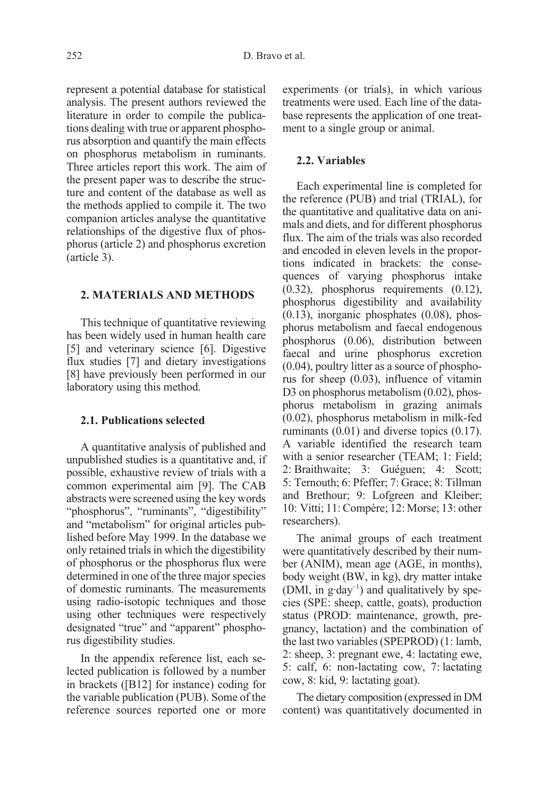represent a potential database for statistical analysis. The present authors reviewed the literature in order to compile the publications dealing with true or apparent phosphorus absorption and quantify the main effects on phosphorus metabolism in ruminants. Three articles report this work. The aim of the present paper was to describe the structure and content of the database as well as the methods applied to compile it. The two companion articles analyse the quantitative relationships of the digestive flux of phosphorus (article 2) and phosphorus excretion (article 3).

## 2. MATERIALS AND METHODS

This technique of quantitative reviewing has been widely used in human health care [5] and veterinary science [6]. Digestive flux studies [7] and dietary investigations [8] have previously been performed in our laboratory using this method.

## 2.1. Publications selected

A quantitative analysis of published and unpublished studies is a quantitative and, if possible, exhaustive review of trials with a common experimental aim [9]. The CAB abstracts were screened using the key words "phosphorus", "ruminants", "digestibility" and "metabolism" for original articles published before May 1999. In the database we only retained trials in which the digestibility of phosphorus or the phosphorus flux were determined in one of the three major species of domestic ruminants. The measurements using radio-isotopic techniques and those using other techniques were respectively designated "true" and "apparent" phosphorus digestibility studies.

In the appendix reference list, each selected publication is followed by a number in brackets ([B12] for instance) coding for the variable publication (PUB). Some of the reference sources reported one or more experiments (or trials), in which various treatments were used. Each line of the database represents the application of one treatment to a single group or animal.

## 2.2. Variables

Each experimental line is completed for the reference (PUB) and trial (TRIAL), for the quantitative and qualitative data on animals and diets, and for different phosphorus flux. The aim of the trials was also recorded and encoded in eleven levels in the proportions indicated in brackets: the consequences of varying phosphorus intake (0.32), phosphorus requirements (0.12), phosphorus digestibility and availability (0.13), inorganic phosphates (0.08), phosphorus metabolism and faecal endogenous phosphorus (0.06), distribution between faecal and urine phosphorus excretion (0.04), poultry litter as a source of phosphorus for sheep (0.03), influence of vitamin D<sub>3</sub> on phosphorus metabolism (0.02), phosphorus metabolism in grazing animals (0.02), phosphorus metabolism in milk-fed ruminants (0.01) and diverse topics (0.17). A variable identified the research team with a senior researcher (TEAM; 1: Field; 2: Braithwaite; 3: Guéguen; 4: Scott; 5: Ternouth; 6: Pfeffer; 7: Grace; 8: Tillman and Brethour; 9: Lofgreen and Kleiber; 10: Vitti; 11: Compère; 12: Morse; 13: other researchers).

The animal groups of each treatment were quantitatively described by their number (ANIM), mean age (AGE, in months), body weight (BW, in kg), dry matter intake (DMI, in  $g \cdot day^{-1}$ ) and qualitatively by species (SPE: sheep, cattle, goats), production status (PROD: maintenance, growth, pregnancy, lactation) and the combination of the last two variables (SPEPROD) (1: lamb, 2: sheep, 3: pregnant ewe, 4: lactating ewe, 5: calf, 6: non-lactating cow, 7: lactating cow, 8: kid, 9: lactating goat).

The dietary composition (expressed in DM content) was quantitatively documented in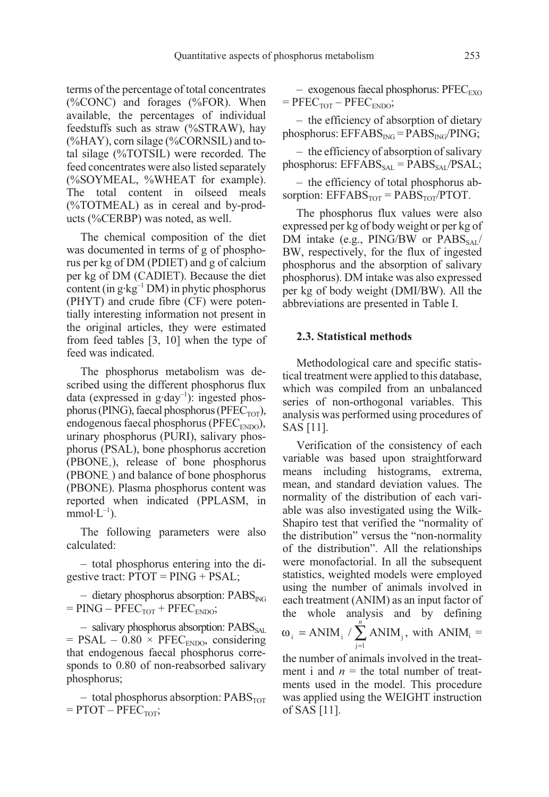terms of the percentage of total concentrates (%CONC) and forages (%FOR). When available, the percentages of individual feedstuffs such as straw (%STRAW), hay (%HAY), corn silage (%CORNSIL) and total silage (%TOTSIL) were recorded. The feed concentrates were also listed separately (%SOYMEAL, %WHEAT for example). The total content in oilseed meals (%TOTMEAL) as in cereal and by-products (%CERBP) was noted, as well.

The chemical composition of the diet was documented in terms of g of phosphorus per kg of DM (PDIET) and g of calcium per kg of DM (CADIET). Because the diet content (in  $g \cdot kg^{-1}$  DM) in phytic phosphorus (PHYT) and crude fibre (CF) were potentially interesting information not present in the original articles, they were estimated from feed tables [3, 10] when the type of feed was indicated.

The phosphorus metabolism was described using the different phosphorus flux data (expressed in g·day<sup>-1</sup>): ingested phosphorus (PING), faecal phosphorus (PFEC<sub>TOT</sub>), endogenous faecal phosphorus (PFEC<sub>ENDO</sub>), urinary phosphorus (PURI), salivary phosphorus (PSAL), bone phosphorus accretion  $(PBONE<sub>+</sub>)$ , release of bone phosphorus (PBONE–) and balance of bone phosphorus (PBONE). Plasma phosphorus content was reported when indicated (PPLASM, in  $mmol·L^{-1}$ ).

The following parameters were also calculated:

– total phosphorus entering into the digestive tract: PTOT = PING + PSAL;

 $-$  dietary phosphorus absorption: PABS<sub>ING</sub>  $=$  PING – PFEC<sub>TOT</sub> + PFEC<sub>ENDO</sub>;

 $-$  salivary phosphorus absorption:  $PABS_{\text{SAL}}$  $=$  PSAL – 0.80  $\times$  PFEC<sub>ENDO</sub>, considering that endogenous faecal phosphorus corresponds to 0.80 of non-reabsorbed salivary phosphorus;

– total phosphorus absorption:  $PABS<sub>TOT</sub>$  $=$  PTOT – PFEC<sub>TOT</sub>;

– exogenous faecal phosphorus:  $\text{PFEC}_{\text{EXO}}$  $=$  PFEC<sub>TOT</sub> – PFEC<sub>ENDO</sub>;

– the efficiency of absorption of dietary phosphorus:  $EFFABS_{ING} = PABS_{ING}/PING;$ 

– the efficiency of absorption of salivary phosphorus:  $EFFABS_{SAL} = PABS_{SAL}/PSAL;$ 

– the efficiency of total phosphorus absorption:  $EFFABS<sub>TOT</sub> = PABS<sub>TOT</sub>/PTOT.$ 

The phosphorus flux values were also expressed per kg of body weight or per kg of DM intake (e.g.,  $PING/BW$  or  $PABS_{SAI}/$ BW, respectively, for the flux of ingested phosphorus and the absorption of salivary phosphorus). DM intake was also expressed per kg of body weight (DMI/BW). All the abbreviations are presented in Table I.

#### 2.3. Statistical methods

Methodological care and specific statistical treatment were applied to this database, which was compiled from an unbalanced series of non-orthogonal variables. This analysis was performed using procedures of SAS [11].

Verification of the consistency of each variable was based upon straightforward means including histograms, extrema, mean, and standard deviation values. The normality of the distribution of each variable was also investigated using the Wilk-Shapiro test that verified the "normality of the distribution" versus the "non-normality of the distribution". All the relationships were monofactorial. In all the subsequent statistics, weighted models were employed using the number of animals involved in each treatment (ANIM) as an input factor of the whole analysis and by defining

$$
\omega_i
$$
 = ANIM<sub>i</sub> /  $\sum_{j=1}^{n} ANIM_j$ , with ANIM<sub>i</sub> =

the number of animals involved in the treatment i and  $n =$  the total number of treatments used in the model. This procedure was applied using the WEIGHT instruction of SAS [11].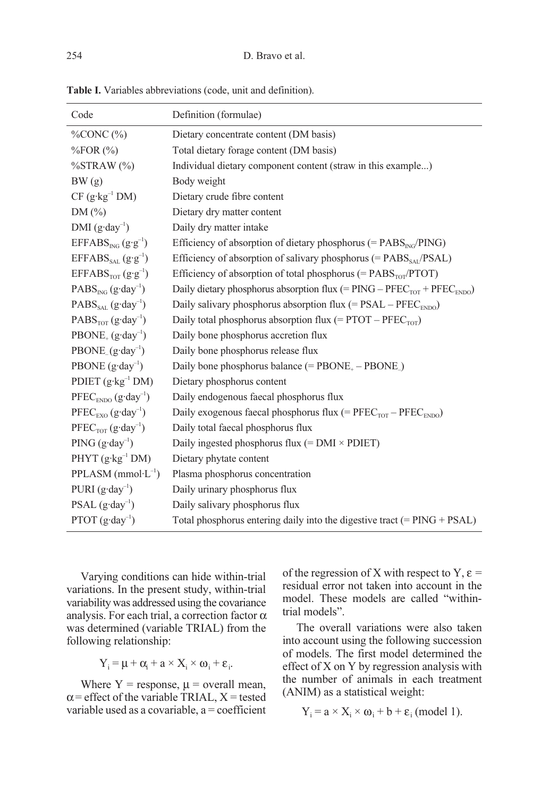| Code                                                                | Definition (formulae)                                                                                              |
|---------------------------------------------------------------------|--------------------------------------------------------------------------------------------------------------------|
| $\%$ CONC $(\%)$                                                    | Dietary concentrate content (DM basis)                                                                             |
| $\%$ FOR $(\%)$                                                     | Total dietary forage content (DM basis)                                                                            |
| %STRAW (%)                                                          | Individual dietary component content (straw in this example)                                                       |
| BW(g)                                                               | Body weight                                                                                                        |
| $CF$ (g·kg <sup>-1</sup> DM)                                        | Dietary crude fibre content                                                                                        |
| DM(%)                                                               | Dietary dry matter content                                                                                         |
| $DMI (g \cdot day^{-1})$                                            | Daily dry matter intake                                                                                            |
| $EFFABS_{NG} (g \cdot g^{-1})$                                      | Efficiency of absorption of dietary phosphorus (= $\text{PABS}_{\text{ING}}/\text{PING}$ )                         |
| $EFFABS_{\text{SAL}}(g \cdot g^{-1})$                               | Efficiency of absorption of salivary phosphorus (= $\text{PABS}_{\text{SAI}}/\text{PSAL}$ )                        |
| $EFFABSTOT(g·g-1)$                                                  | Efficiency of absorption of total phosphorus (= $\text{PABS}_{\text{TOT}}/\text{PTOT}$ )                           |
| $PABS_{ING}$ (g·day <sup>-1</sup> )                                 | Daily dietary phosphorus absorption flux (= $\text{PING} - \text{PFEC}_{\text{TOT}} + \text{PFEC}_{\text{ENDO}}$ ) |
| $PABS_{SAI}$ (g·day <sup>-1</sup> )                                 | Daily salivary phosphorus absorption flux (= PSAL – $\mathrm{PFEC}_\mathrm{ENDO}$ )                                |
| $PABSTOT (g·day-1)$                                                 | Daily total phosphorus absorption flux (= $\text{PTOT} - \text{PFEC}_{\text{TOT}}$ )                               |
| $PBONE_{+} (g \cdot day^{-1})$                                      | Daily bone phosphorus accretion flux                                                                               |
| $PBONE_{-}(g \cdot day^{-1})$                                       | Daily bone phosphorus release flux                                                                                 |
| PBONE $(g \cdot day^{-1})$                                          | Daily bone phosphorus balance (= $\text{PBONE}_{+} - \text{PBONE}_{-}$ )                                           |
| PDIET $(g \cdot kg^{-1} DM)$                                        | Dietary phosphorus content                                                                                         |
| $PFEC_{ENDO} (g \cdot day^{-1})$                                    | Daily endogenous faecal phosphorus flux                                                                            |
| $\text{PFEC}_{\text{EXO}}\left(\text{g}\cdot\text{day}^{-1}\right)$ | Daily exogenous faecal phosphorus flux (= $PFEC_{TOT} - PFEC_{ENDO}$ )                                             |
| $PFECTOT (g \cdot day-1)$                                           | Daily total faecal phosphorus flux                                                                                 |
| PING $(g \cdot day^{-1})$                                           | Daily ingested phosphorus flux (= $DMI \times PDET$ )                                                              |
| $PHYT(g·kg-1 DM)$                                                   | Dietary phytate content                                                                                            |
| $PPLASM$ (mmol·L <sup>-1</sup> )                                    | Plasma phosphorus concentration                                                                                    |
| PURI $(g \cdot \text{day}^{-1})$                                    | Daily urinary phosphorus flux                                                                                      |
| PSAL $(g \cdot day^{-1})$                                           | Daily salivary phosphorus flux                                                                                     |
| PTOT $(g \cdot day^{-1})$                                           | Total phosphorus entering daily into the digestive tract $(= PING + PSAL)$                                         |

Table I. Variables abbreviations (code, unit and definition).

Varying conditions can hide within-trial variations. In the present study, within-trial variability was addressed using the covariance analysis. For each trial, a correction factor  $\alpha$ was determined (variable TRIAL) from the following relationship:

$$
Y_i = \mu + \alpha_i + a \times X_i \times \omega_i + \epsilon_i.
$$

Where  $Y =$  response,  $\mu =$  overall mean,  $\alpha$  = effect of the variable TRIAL, X = tested variable used as a covariable,  $a =$  coefficient

of the regression of X with respect to  $Y, \varepsilon =$ residual error not taken into account in the model. These models are called "withintrial models".

The overall variations were also taken into account using the following succession of models. The first model determined the effect of X on Y by regression analysis with the number of animals in each treatment (ANIM) as a statistical weight:

$$
Y_i = a \times X_i \times \omega_i + b + \varepsilon_i \text{ (model 1)}.
$$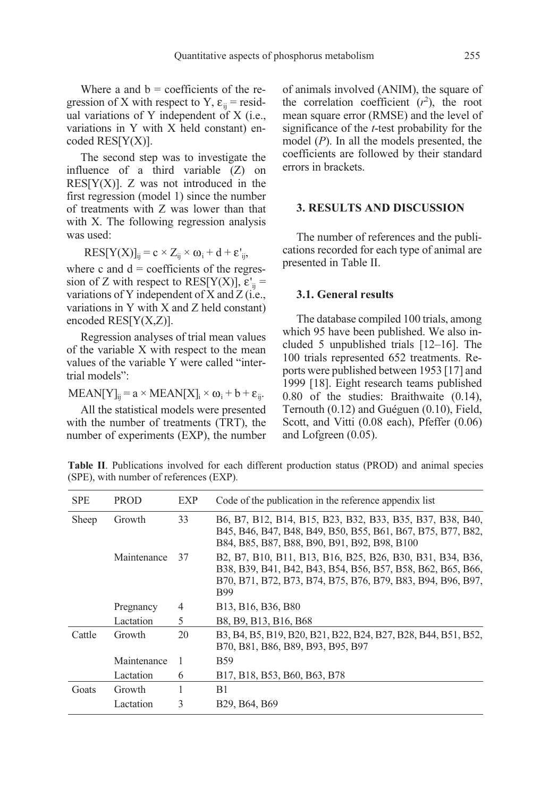Where a and  $b =$  coefficients of the regression of X with respect to Y,  $\varepsilon_{ii}$  = residual variations of Y independent of X (i.e., variations in Y with X held constant) encoded RES[Y(X)].

The second step was to investigate the influence of a third variable (Z) on RES[ $Y(X)$ ]. Z was not introduced in the first regression (model 1) since the number of treatments with Z was lower than that with X. The following regression analysis was used:

$$
RES[Y(X)]_{ij} = c \times Z_{ij} \times \omega_i + d + \varepsilon'_{ij},
$$

where c and  $d =$  coefficients of the regression of Z with respect to  $RES[Y(X)]$ ,  $\varepsilon'_{ij}$  = variations of Y independent of X and Z (i.e., variations in Y with X and Z held constant) encoded  $RES[Y(X,Z)]$ .

Regression analyses of trial mean values of the variable X with respect to the mean values of the variable Y were called "intertrial models":

$$
MEAN[Y]_{ij} = a \times MEAN[X]_i \times \omega_i + b + \epsilon_{ij}.
$$

All the statistical models were presented with the number of treatments (TRT), the number of experiments (EXP), the number of animals involved (ANIM), the square of the correlation coefficient  $(r^2)$ , the root mean square error (RMSE) and the level of significance of the t-test probability for the model  $(P)$ . In all the models presented, the coefficients are followed by their standard errors in brackets.

#### 3. RESULTS AND DISCUSSION

The number of references and the publications recorded for each type of animal are presented in Table II.

#### 3.1. General results

The database compiled 100 trials, among which 95 have been published. We also included 5 unpublished trials [12–16]. The 100 trials represented 652 treatments. Reports were published between 1953 [17] and 1999 [18]. Eight research teams published 0.80 of the studies: Braithwaite (0.14), Ternouth (0.12) and Guéguen (0.10), Field, Scott, and Vitti (0.08 each), Pfeffer (0.06) and Lofgreen (0.05).

Table II. Publications involved for each different production status (PROD) and animal species (SPE), with number of references (EXP).

| <b>SPE</b> | <b>PROD</b> | EXP | Code of the publication in the reference appendix list                                                                                                                                                                                                                                                                               |
|------------|-------------|-----|--------------------------------------------------------------------------------------------------------------------------------------------------------------------------------------------------------------------------------------------------------------------------------------------------------------------------------------|
| Sheep      | Growth      | 33  | B <sub>6</sub> , B <sub>7</sub> , B <sub>12</sub> , B <sub>14</sub> , B <sub>15</sub> , B <sub>23</sub> , B <sub>32</sub> , B <sub>33</sub> , B <sub>35</sub> , B <sub>37</sub> , B <sub>38</sub> , B <sub>40</sub> ,<br>B45, B46, B47, B48, B49, B50, B55, B61, B67, B75, B77, B82,<br>B84, B85, B87, B88, B90, B91, B92, B98, B100 |
|            | Maintenance | 37  | B2, B7, B10, B11, B13, B16, B25, B26, B30, B31, B34, B36,<br>B38, B39, B41, B42, B43, B54, B56, B57, B58, B62, B65, B66,<br>B70, B71, B72, B73, B74, B75, B76, B79, B83, B94, B96, B97,<br><b>B99</b>                                                                                                                                |
|            | Pregnancy   | 4   | B13, B16, B36, B80                                                                                                                                                                                                                                                                                                                   |
|            | Lactation   | 5   | B8, B9, B13, B16, B68                                                                                                                                                                                                                                                                                                                |
| Cattle     | Growth      | 20  | B3, B4, B5, B19, B20, B21, B22, B24, B27, B28, B44, B51, B52,<br>B70, B81, B86, B89, B93, B95, B97                                                                                                                                                                                                                                   |
|            | Maintenance | 1   | <b>B59</b>                                                                                                                                                                                                                                                                                                                           |
|            | Lactation   | 6   | B17, B18, B53, B60, B63, B78                                                                                                                                                                                                                                                                                                         |
| Goats      | Growth      |     | B1                                                                                                                                                                                                                                                                                                                                   |
|            | Lactation   | 3   | B <sub>29</sub> , B <sub>64</sub> , B <sub>69</sub>                                                                                                                                                                                                                                                                                  |
|            |             |     |                                                                                                                                                                                                                                                                                                                                      |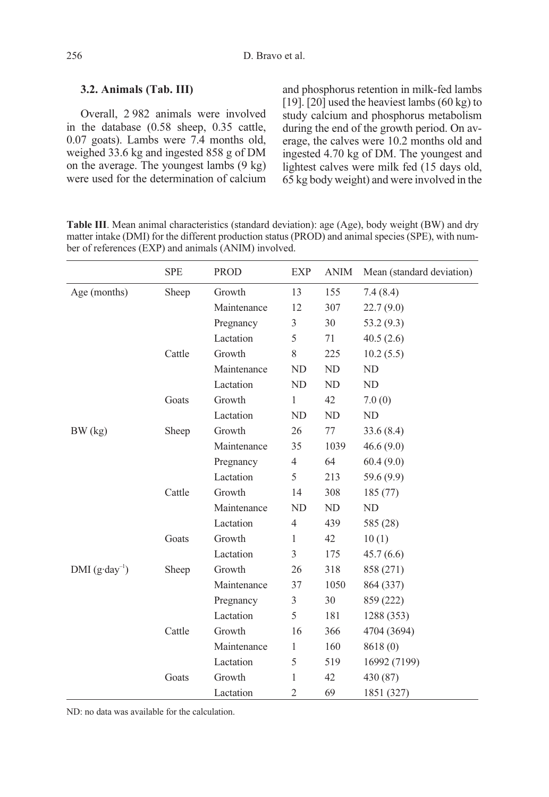## 3.2. Animals (Tab. III)

Overall, 2 982 animals were involved in the database (0.58 sheep, 0.35 cattle, 0.07 goats). Lambs were 7.4 months old, weighed 33.6 kg and ingested 858 g of DM on the average. The youngest lambs  $(9 \text{ kg})$ were used for the determination of calcium and phosphorus retention in milk-fed lambs [19]. [20] used the heaviest lambs  $(60 \text{ kg})$  to study calcium and phosphorus metabolism during the end of the growth period. On average, the calves were 10.2 months old and ingested 4.70 kg of DM. The youngest and lightest calves were milk fed (15 days old, 65 kg body weight) and were involved in the

| <b>Table III.</b> Mean animal characteristics (standard deviation): age (Age), body weight (BW) and dry |
|---------------------------------------------------------------------------------------------------------|
| matter intake (DMI) for the different production status (PROD) and animal species (SPE), with num-      |
| ber of references (EXP) and animals (ANIM) involved.                                                    |
|                                                                                                         |

|                          | <b>SPE</b>       | PROD        | EXP          | ANIM | Mean (standard deviation) |
|--------------------------|------------------|-------------|--------------|------|---------------------------|
| Age (months)             | Sheep            | Growth      | 13           | 155  | 7.4(8.4)                  |
|                          |                  | Maintenance | 12           | 307  | 22.7(9.0)                 |
|                          |                  | Pregnancy   | 3            | 30   | 53.2 (9.3)                |
|                          |                  | Lactation   | 5            | 71   | 40.5(2.6)                 |
|                          | Cattle           | Growth      | 8            | 225  | 10.2(5.5)                 |
|                          |                  | Maintenance | ND           | ND   | ND                        |
|                          |                  | Lactation   | ND           | ND   | ND                        |
|                          | Goats            | Growth      | $\mathbf{1}$ | 42   | 7.0(0)                    |
|                          |                  | Lactation   | ND           | ND   | ND                        |
| BW (kg)                  | Sheep            | Growth      | 26           | 77   | 33.6(8.4)                 |
|                          |                  | Maintenance | 35           | 1039 | 46.6(9.0)                 |
|                          |                  | Pregnancy   | 4            | 64   | 60.4(9.0)                 |
|                          |                  | Lactation   | 5            | 213  | 59.6 (9.9)                |
|                          | Cattle           | Growth      | 14           | 308  | 185 (77)                  |
|                          |                  | Maintenance | ND           | ND   | ND                        |
|                          | Lactation        |             | 4            | 439  | 585 (28)                  |
|                          | Goats            | Growth      | 1            | 42   | 10(1)                     |
|                          |                  | Lactation   | 3            | 175  | 45.7(6.6)                 |
| $DMI (g \cdot day^{-1})$ | Sheep            | Growth      | 26           | 318  | 858 (271)                 |
|                          |                  | Maintenance | 37           | 1050 | 864 (337)                 |
|                          |                  | Pregnancy   | 3            | 30   | 859 (222)                 |
|                          |                  | Lactation   | 5            | 181  | 1288 (353)                |
|                          | Cattle<br>Growth |             | 16           | 366  | 4704 (3694)               |
|                          |                  | Maintenance | $\mathbf{1}$ | 160  | 8618 (0)                  |
|                          |                  | Lactation   | 5            | 519  | 16992 (7199)              |
|                          | Goats            | Growth      | 1            | 42   | 430 (87)                  |
|                          |                  | Lactation   | 2            | 69   | 1851 (327)                |

ND: no data was available for the calculation.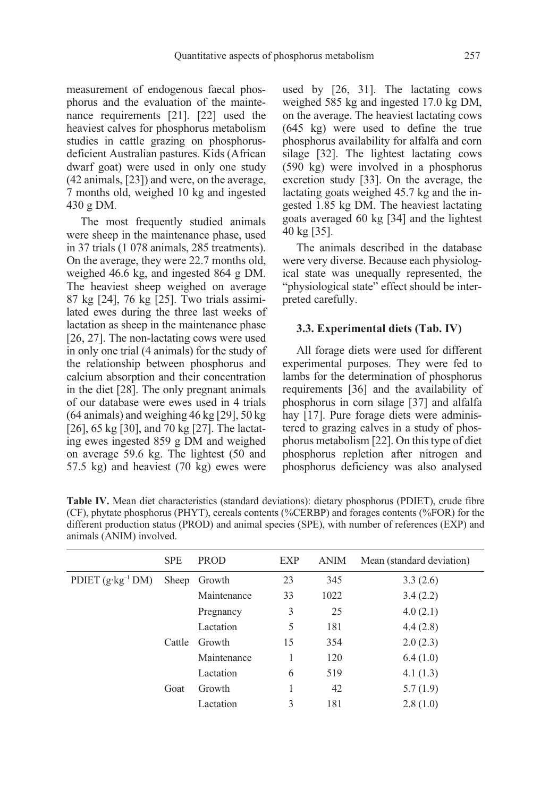measurement of endogenous faecal phosphorus and the evaluation of the maintenance requirements [21]. [22] used the heaviest calves for phosphorus metabolism studies in cattle grazing on phosphorusdeficient Australian pastures. Kids (African dwarf goat) were used in only one study (42 animals, [23]) and were, on the average, 7 months old, weighed 10 kg and ingested 430 g DM.

The most frequently studied animals were sheep in the maintenance phase, used in 37 trials (1 078 animals, 285 treatments). On the average, they were 22.7 months old, weighed 46.6 kg, and ingested 864 g DM. The heaviest sheep weighed on average 87 kg [24], 76 kg [25]. Two trials assimilated ewes during the three last weeks of lactation as sheep in the maintenance phase [26, 27]. The non-lactating cows were used in only one trial (4 animals) for the study of the relationship between phosphorus and calcium absorption and their concentration in the diet [28]. The only pregnant animals of our database were ewes used in 4 trials (64 animals) and weighing 46 kg [29], 50 kg [26], 65 kg [30], and 70 kg [27]. The lactating ewes ingested 859 g DM and weighed on average 59.6 kg. The lightest (50 and 57.5 kg) and heaviest (70 kg) ewes were used by [26, 31]. The lactating cows weighed 585 kg and ingested 17.0 kg DM, on the average. The heaviest lactating cows (645 kg) were used to define the true phosphorus availability for alfalfa and corn silage [32]. The lightest lactating cows (590 kg) were involved in a phosphorus excretion study [33]. On the average, the lactating goats weighed 45.7 kg and the ingested 1.85 kg DM. The heaviest lactating goats averaged 60 kg [34] and the lightest 40 kg [35].

The animals described in the database were very diverse. Because each physiological state was unequally represented, the "physiological state" effect should be interpreted carefully.

## 3.3. Experimental diets (Tab. IV)

All forage diets were used for different experimental purposes. They were fed to lambs for the determination of phosphorus requirements [36] and the availability of phosphorus in corn silage [37] and alfalfa hay [17]. Pure forage diets were administered to grazing calves in a study of phosphorus metabolism [22]. On this type of diet phosphorus repletion after nitrogen and phosphorus deficiency was also analysed

| <b>Table TV.</b> Integri the characteristics (standard deviations), dictary phosphorus (1 DTET), crude froit<br>(CF), phytate phosphorus (PHYT), cereals contents (%CERBP) and forages contents (%FOR) for the<br>different production status (PROD) and animal species (SPE), with number of references (EXP) and<br>animals (ANIM) involved. |      |             |            |      |                           |  |  |
|------------------------------------------------------------------------------------------------------------------------------------------------------------------------------------------------------------------------------------------------------------------------------------------------------------------------------------------------|------|-------------|------------|------|---------------------------|--|--|
|                                                                                                                                                                                                                                                                                                                                                | SPE. | <b>PROD</b> | <b>EXP</b> | ANIM | Mean (standard deviation) |  |  |
| PDIET $(g \cdot kg^{-1} DM)$ Sheep Growth                                                                                                                                                                                                                                                                                                      |      |             | 23         | 345  | 3.3(2.6)                  |  |  |

| Table IV. Mean diet characteristics (standard deviations): dietary phosphorus (PDIET), crude fibre |
|----------------------------------------------------------------------------------------------------|
| (CF), phytate phosphorus (PHYT), cereals contents (%CERBP) and forages contents (%FOR) for the     |
| different production status (PROD) and animal species (SPE), with number of references (EXP) and   |
| animals (ANIM) involved.                                                                           |

|                              | <b>SPE</b> | <b>PROD</b>  | EXP | ANIM | Mean (standard deviation) |
|------------------------------|------------|--------------|-----|------|---------------------------|
| PDIET $(g \cdot kg^{-1} DM)$ |            | Sheep Growth | 23  | 345  | 3.3(2.6)                  |
|                              |            | Maintenance  | 33  | 1022 | 3.4(2.2)                  |
|                              |            | Pregnancy    | 3   | 25   | 4.0(2.1)                  |
|                              |            | Lactation    | 5   | 181  | 4.4(2.8)                  |
|                              | Cattle     | Growth       | 15  | 354  | 2.0(2.3)                  |
|                              |            | Maintenance  |     | 120  | 6.4(1.0)                  |
|                              |            | Lactation    | 6   | 519  | 4.1(1.3)                  |
|                              | Goat       | Growth       |     | 42   | 5.7(1.9)                  |
|                              |            | Lactation    | 3   | 181  | 2.8(1.0)                  |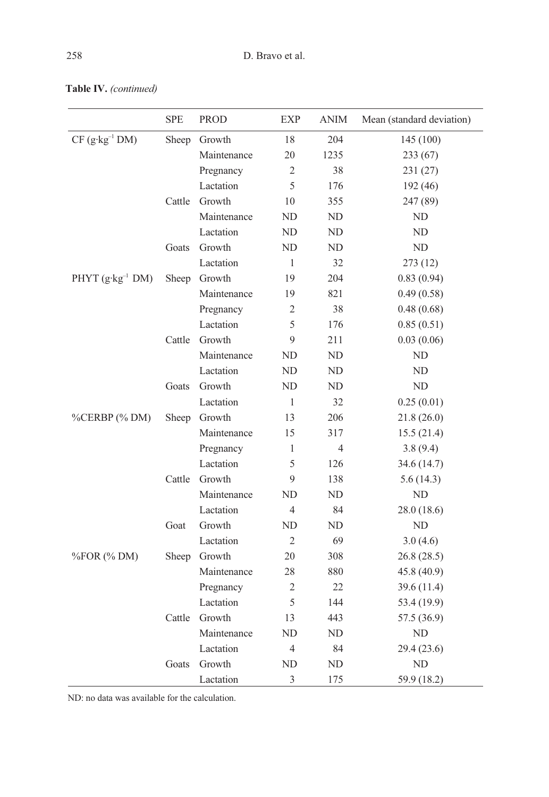|                              | <b>SPE</b> | <b>PROD</b> | EXP            | <b>ANIM</b>    | Mean (standard deviation) |
|------------------------------|------------|-------------|----------------|----------------|---------------------------|
| $CF$ (g·kg <sup>-1</sup> DM) | Sheep      | Growth      | 18             | 204            | 145 (100)                 |
|                              |            | Maintenance | 20             | 1235           | 233 (67)                  |
|                              |            | Pregnancy   | 2              | 38             | 231 (27)                  |
|                              |            | Lactation   | 5              | 176            | 192 (46)                  |
|                              | Cattle     | Growth      | 10             | 355            | 247 (89)                  |
|                              |            | Maintenance | ND             | ND             | ND                        |
|                              |            | Lactation   | ND             | ND             | ND                        |
|                              | Goats      | Growth      | ND             | ND             | ND                        |
|                              |            | Lactation   | $\mathbf{1}$   | 32             | 273(12)                   |
| PHYT $(g \cdot kg^{-1} DM)$  | Sheep      | Growth      | 19             | 204            | 0.83(0.94)                |
|                              |            | Maintenance | 19             | 821            | 0.49(0.58)                |
|                              |            | Pregnancy   | 2              | 38             | 0.48(0.68)                |
|                              |            | Lactation   | 5              | 176            | 0.85(0.51)                |
|                              | Cattle     | Growth      | 9              | 211            | 0.03(0.06)                |
|                              |            | Maintenance | ND             | ND             | ND                        |
|                              |            | Lactation   | ND             | ND             | ND                        |
|                              | Goats      | Growth      | ND             | ND             | ND                        |
|                              |            | Lactation   | 1              | 32             | 0.25(0.01)                |
| %CERBP (% DM)                | Sheep      | Growth      | 13             | 206            | 21.8 (26.0)               |
|                              |            | Maintenance | 15             | 317            | 15.5(21.4)                |
|                              |            | Pregnancy   | $\mathbf{1}$   | $\overline{4}$ | 3.8(9.4)                  |
|                              |            | Lactation   | 5              | 126            | 34.6 (14.7)               |
|                              | Cattle     | Growth      | 9              | 138            | 5.6 (14.3)                |
|                              |            | Maintenance | ND             | ND             | ND                        |
|                              |            | Lactation   | $\overline{4}$ | 84             | 28.0(18.6)                |
|                              | Goat       | Growth      | ND             | ND             | ND                        |
|                              |            | Lactation   | $\overline{2}$ | 69             | 3.0(4.6)                  |
| %FOR (% DM)                  | Sheep      | Growth      | 20             | 308            | 26.8 (28.5)               |
|                              |            | Maintenance | 28             | 880            | 45.8 (40.9)               |
|                              |            | Pregnancy   | $\mathfrak{2}$ | 22             | 39.6 (11.4)               |
|                              |            | Lactation   | 5              | 144            | 53.4 (19.9)               |
|                              | Cattle     | Growth      | 13             | 443            | 57.5 (36.9)               |
|                              |            | Maintenance | ND             | ND             | ND                        |
|                              |            | Lactation   | 4              | 84             | 29.4 (23.6)               |
|                              | Goats      | Growth      | ND             | ND             | $\rm ND$                  |
|                              |            | Lactation   | $\overline{3}$ | 175            | 59.9 (18.2)               |

Table IV. (continued)

ND: no data was available for the calculation.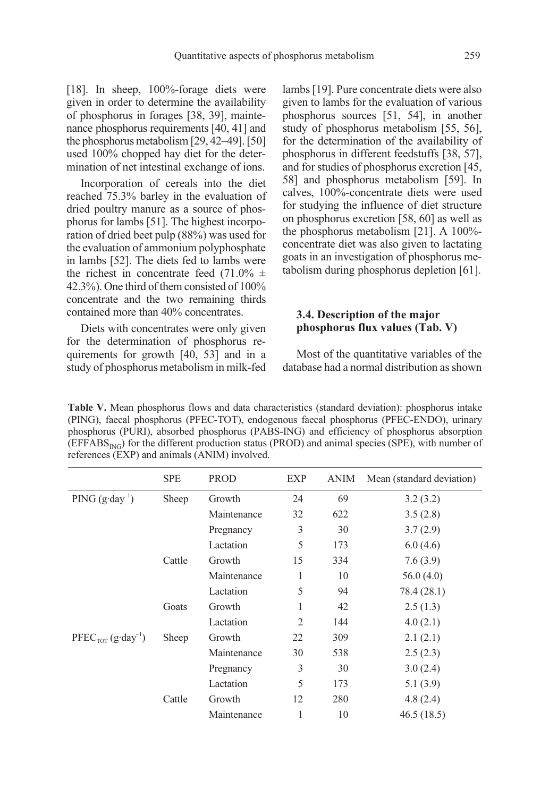[18]. In sheep, 100%-forage diets were given in order to determine the availability of phosphorus in forages [38, 39], maintenance phosphorus requirements [40, 41] and the phosphorus metabolism [29, 42–49]. [50] used 100% chopped hay diet for the determination of net intestinal exchange of ions.

Incorporation of cereals into the diet reached 75.3% barley in the evaluation of dried poultry manure as a source of phosphorus for lambs [51]. The highest incorporation of dried beet pulp (88%) was used for the evaluation of ammonium polyphosphate in lambs [52]. The diets fed to lambs were the richest in concentrate feed  $(71.0\% \pm$ 42.3%). One third of them consisted of 100% concentrate and the two remaining thirds contained more than 40% concentrates.

Diets with concentrates were only given for the determination of phosphorus requirements for growth [40, 53] and in a study of phosphorus metabolism in milk-fed lambs [19]. Pure concentrate diets were also given to lambs for the evaluation of various phosphorus sources [51, 54], in another study of phosphorus metabolism [55, 56], for the determination of the availability of phosphorus in different feedstuffs [38, 57], and for studies of phosphorus excretion [45, 58] and phosphorus metabolism [59]. In calves, 100%-concentrate diets were used for studying the influence of diet structure on phosphorus excretion [58, 60] as well as the phosphorus metabolism [21]. A 100% concentrate diet was also given to lactating goats in an investigation of phosphorus metabolism during phosphorus depletion [61].

## 3.4. Description of the major phosphorus flux values (Tab. V)

Most of the quantitative variables of the database had a normal distribution as shown

Table V. Mean phosphorus flows and data characteristics (standard deviation): phosphorus intake (PING), faecal phosphorus (PFEC-TOT), endogenous faecal phosphorus (PFEC-ENDO), urinary phosphorus (PURI), absorbed phosphorus (PABS-ING) and efficiency of phosphorus absorption (EFFABS<sub>ING</sub>) for the different production status (PROD) and animal species (SPE), with number of references (EXP) and animals (ANIM) involved.

|                           | <b>SPE</b> | <b>PROD</b> | <b>EXP</b> | <b>ANIM</b> | Mean (standard deviation) |
|---------------------------|------------|-------------|------------|-------------|---------------------------|
| PING $(g \cdot day^{-1})$ | Sheep      | Growth      | 24         | 69          | 3.2(3.2)                  |
|                           |            | Maintenance | 32         | 622         | 3.5(2.8)                  |
|                           |            | Pregnancy   | 3          | 30          | 3.7(2.9)                  |
|                           |            | Lactation   | 5          | 173         | 6.0(4.6)                  |
|                           | Cattle     | Growth      | 15         | 334         | 7.6(3.9)                  |
|                           |            | Maintenance | 1          | 10          | 56.0(4.0)                 |
|                           |            | Lactation   | 5          | 94          | 78.4 (28.1)               |
|                           | Goats      | Growth      | 1          | 42          | 2.5(1.3)                  |
|                           |            | Lactation   | 2          | 144         | 4.0(2.1)                  |
| $PFECTOT (g \cdot day-1)$ | Sheep      | Growth      | 22         | 309         | 2.1(2.1)                  |
|                           |            | Maintenance | 30         | 538         | 2.5(2.3)                  |
|                           |            | Pregnancy   | 3          | 30          | 3.0(2.4)                  |
|                           |            | Lactation   | 5          | 173         | 5.1(3.9)                  |
|                           | Cattle     | Growth      | 12         | 280         | 4.8(2.4)                  |
|                           |            | Maintenance | 1          | 10          | 46.5(18.5)                |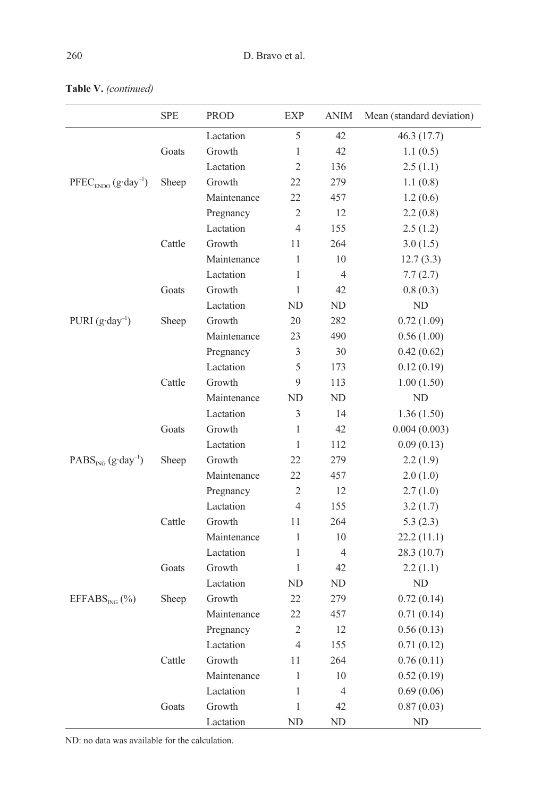|                                           | <b>SPE</b> | <b>PROD</b> | <b>EXP</b>     | <b>ANIM</b>    | Mean (standard deviation) |
|-------------------------------------------|------------|-------------|----------------|----------------|---------------------------|
|                                           |            | Lactation   | 5              | 42             | 46.3(17.7)                |
|                                           | Goats      | Growth      | 1              | 42             | 1.1(0.5)                  |
|                                           |            | Lactation   | $\overline{2}$ | 136            | 2.5(1.1)                  |
| $\text{PFEC}_{ENDO}$ $(g \cdot day^{-1})$ | Sheep      | Growth      | 22             | 279            | 1.1(0.8)                  |
|                                           |            | Maintenance | 22             | 457            | 1.2(0.6)                  |
|                                           |            | Pregnancy   | $\overline{2}$ | 12             | 2.2(0.8)                  |
|                                           |            | Lactation   | $\overline{4}$ | 155            | 2.5(1.2)                  |
|                                           | Cattle     | Growth      | 11             | 264            | 3.0(1.5)                  |
|                                           |            | Maintenance | 1              | 10             | 12.7(3.3)                 |
|                                           |            | Lactation   | 1              | $\overline{4}$ | 7.7(2.7)                  |
|                                           | Goats      | Growth      | $\mathbf{1}$   | 42             | 0.8(0.3)                  |
|                                           |            | Lactation   | ND             | ND             | ND                        |
| PURI $(g \cdot day^{-1})$                 | Sheep      | Growth      | 20             | 282            | 0.72(1.09)                |
|                                           |            | Maintenance | 23             | 490            | 0.56(1.00)                |
|                                           |            | Pregnancy   | 3              | 30             | 0.42(0.62)                |
|                                           |            | Lactation   | 5              | 173            | 0.12(0.19)                |
|                                           | Cattle     | Growth      | 9              | 113            | 1.00(1.50)                |
|                                           |            | Maintenance | ND             | ND             | ND                        |
|                                           |            | Lactation   | 3              | 14             | 1.36(1.50)                |
|                                           | Goats      | Growth      | 1              | 42             | 0.004(0.003)              |
|                                           |            | Lactation   | 1              | 112            | 0.09(0.13)                |
| $PABS_{ING}$ (g·day <sup>-1</sup> )       | Sheep      | Growth      | 22             | 279            | 2.2(1.9)                  |
|                                           |            | Maintenance | 22             | 457            | 2.0(1.0)                  |
|                                           |            | Pregnancy   | $\overline{2}$ | 12             | 2.7(1.0)                  |
|                                           |            | Lactation   | $\overline{4}$ | 155            | 3.2(1.7)                  |
|                                           | Cattle     | Growth      | 11             | 264            | 5.3(2.3)                  |
|                                           |            | Maintenance | 1              | 10             | 22.2(11.1)                |
|                                           |            | Lactation   | 1              | $\overline{4}$ | 28.3(10.7)                |
|                                           | Goats      | Growth      | 1              | 42             | 2.2(1.1)                  |
|                                           |            | Lactation   | ND             | ND             | ND                        |
| EFFABS <sub>ING</sub> (%)                 | Sheep      | Growth      | 22             | 279            | 0.72(0.14)                |
|                                           |            | Maintenance | 22             | 457            | 0.71(0.14)                |
|                                           |            | Pregnancy   | $\overline{c}$ | 12             | 0.56(0.13)                |
|                                           |            | Lactation   | $\overline{4}$ | 155            | 0.71(0.12)                |
|                                           | Cattle     | Growth      | 11             | 264            | 0.76(0.11)                |
|                                           |            | Maintenance | $\,1$          | 10             | 0.52(0.19)                |
|                                           |            | Lactation   | $\mathbf{1}$   | $\overline{4}$ | 0.69(0.06)                |
|                                           | Goats      | Growth      | $\,1$          | 42             | 0.87(0.03)                |
|                                           |            | Lactation   | $\rm ND$       | ND             | ND                        |

Table V. (continued)

ND: no data was available for the calculation.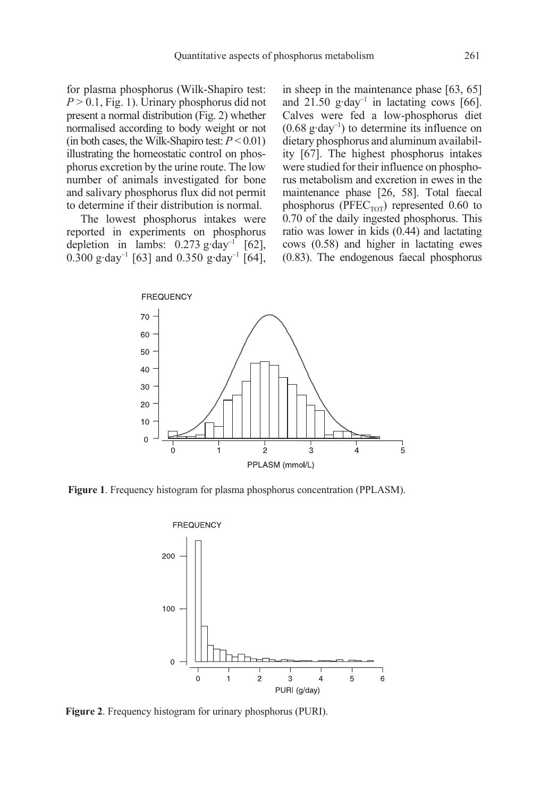for plasma phosphorus (Wilk-Shapiro test:  $P > 0.1$ , Fig. 1). Urinary phosphorus did not present a normal distribution (Fig. 2) whether normalised according to body weight or not (in both cases, the Wilk-Shapiro test:  $P < 0.01$ ) illustrating the homeostatic control on phosphorus excretion by the urine route. The low number of animals investigated for bone and salivary phosphorus flux did not permit to determine if their distribution is normal.

The lowest phosphorus intakes were reported in experiments on phosphorus depletion in lambs:  $0.273$  g·day<sup>-1</sup> [62],  $0.\overline{3}00 \text{ g} \cdot \text{day}^{-1}$  [63] and  $0.350 \text{ g} \cdot \text{day}^{-1}$  [64], in sheep in the maintenance phase [63, 65] and 21.50  $\text{g-day}^{-1}$  in lactating cows [66]. Calves were fed a low-phosphorus diet  $(0.68 \text{ g-day}^{-1})$  to determine its influence on dietary phosphorus and aluminum availability [67]. The highest phosphorus intakes were studied for their influence on phosphorus metabolism and excretion in ewes in the maintenance phase [26, 58]. Total faecal phosphorus ( $PFEC<sub>TOT</sub>$ ) represented 0.60 to 0.70 of the daily ingested phosphorus. This ratio was lower in kids (0.44) and lactating cows (0.58) and higher in lactating ewes (0.83). The endogenous faecal phosphorus



Figure 1. Frequency histogram for plasma phosphorus concentration (PPLASM).



Figure 2. Frequency histogram for urinary phosphorus (PURI).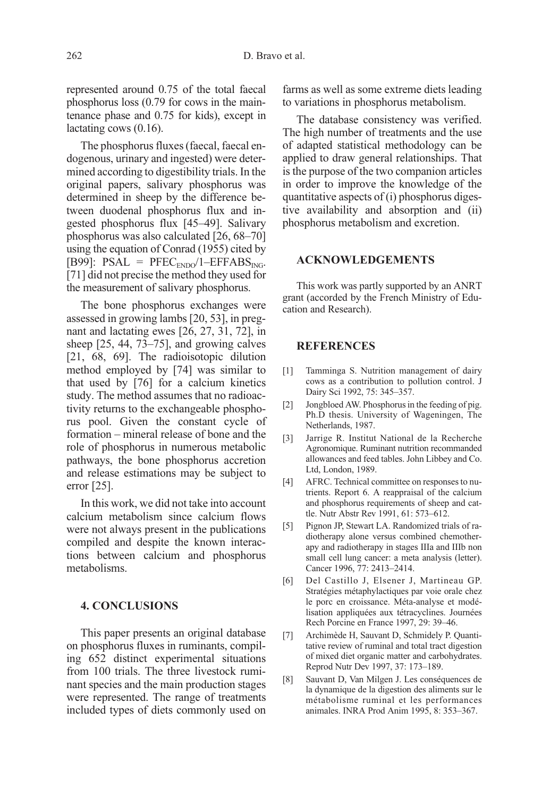represented around 0.75 of the total faecal phosphorus loss (0.79 for cows in the maintenance phase and 0.75 for kids), except in lactating cows (0.16).

The phosphorus fluxes (faecal, faecal endogenous, urinary and ingested) were determined according to digestibility trials. In the original papers, salivary phosphorus was determined in sheep by the difference between duodenal phosphorus flux and ingested phosphorus flux [45–49]. Salivary phosphorus was also calculated [26, 68–70] using the equation of Conrad (1955) cited by [B99]: PSAL =  $PFEC_{ENDO}/1-EFFABS_{ING}$ . [71] did not precise the method they used for the measurement of salivary phosphorus.

The bone phosphorus exchanges were assessed in growing lambs [20, 53], in pregnant and lactating ewes [26, 27, 31, 72], in sheep [25, 44, 73–75], and growing calves [21, 68, 69]. The radioisotopic dilution method employed by [74] was similar to that used by [76] for a calcium kinetics study. The method assumes that no radioactivity returns to the exchangeable phosphorus pool. Given the constant cycle of formation – mineral release of bone and the role of phosphorus in numerous metabolic pathways, the bone phosphorus accretion and release estimations may be subject to error [25].

In this work, we did not take into account calcium metabolism since calcium flows were not always present in the publications compiled and despite the known interactions between calcium and phosphorus metabolisms.

## 4. CONCLUSIONS

This paper presents an original database on phosphorus fluxes in ruminants, compiling 652 distinct experimental situations from 100 trials. The three livestock ruminant species and the main production stages were represented. The range of treatments included types of diets commonly used on farms as well as some extreme diets leading to variations in phosphorus metabolism.

The database consistency was verified. The high number of treatments and the use of adapted statistical methodology can be applied to draw general relationships. That is the purpose of the two companion articles in order to improve the knowledge of the quantitative aspects of (i) phosphorus digestive availability and absorption and (ii) phosphorus metabolism and excretion.

#### ACKNOWLEDGEMENTS

This work was partly supported by an ANRT grant (accorded by the French Ministry of Education and Research).

## **REFERENCES**

- [1] Tamminga S. Nutrition management of dairy cows as a contribution to pollution control. J Dairy Sci 1992, 75: 345–357.
- [2] Jongbloed AW. Phosphorus in the feeding of pig. Ph.D thesis. University of Wageningen, The Netherlands, 1987.
- [3] Jarrige R. Institut National de la Recherche Agronomique. Ruminant nutrition recommanded allowances and feed tables. John Libbey and Co. Ltd, London, 1989.
- [4] AFRC. Technical committee on responses to nutrients. Report 6. A reappraisal of the calcium and phosphorus requirements of sheep and cattle. Nutr Abstr Rev 1991, 61: 573–612.
- [5] Pignon JP, Stewart LA. Randomized trials of radiotherapy alone versus combined chemotherapy and radiotherapy in stages IIIa and IIIb non small cell lung cancer: a meta analysis (letter). Cancer 1996, 77: 2413–2414.
- [6] Del Castillo J, Elsener J, Martineau GP. Stratégies métaphylactiques par voie orale chez le porc en croissance. Méta-analyse et modélisation appliquées aux tétracyclines. Journées Rech Porcine en France 1997, 29: 39–46.
- [7] Archimède H, Sauvant D, Schmidely P. Quantitative review of ruminal and total tract digestion of mixed diet organic matter and carbohydrates. Reprod Nutr Dev 1997, 37: 173–189.
- [8] Sauvant D, Van Milgen J. Les conséquences de la dynamique de la digestion des aliments sur le métabolisme ruminal et les performances animales. INRA Prod Anim 1995, 8: 353–367.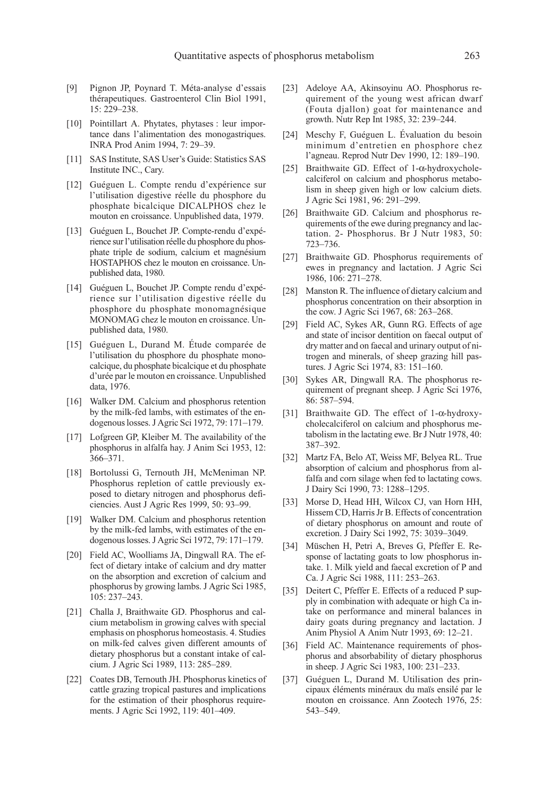- [9] Pignon JP, Poynard T. Méta-analyse d'essais thérapeutiques. Gastroenterol Clin Biol 1991, 15: 229–238.
- [10] Pointillart A. Phytates, phytases : leur importance dans l'alimentation des monogastriques. INRA Prod Anim 1994, 7: 29–39.
- [11] SAS Institute, SAS User's Guide: Statistics SAS Institute INC., Cary.
- [12] Guéguen L. Compte rendu d'expérience sur l'utilisation digestive réelle du phosphore du phosphate bicalcique DICALPHOS chez le mouton en croissance. Unpublished data, 1979.
- [13] Guéguen L, Bouchet JP. Compte-rendu d'expérience sur l'utilisation réelle du phosphore du phosphate triple de sodium, calcium et magnésium HOSTAPHOS chez le mouton en croissance. Unpublished data, 1980.
- [14] Guéguen L, Bouchet JP. Compte rendu d'expérience sur l'utilisation digestive réelle du phosphore du phosphate monomagnésique MONOMAG chez le mouton en croissance. Unpublished data, 1980.
- [15] Guéguen L, Durand M. Étude comparée de l'utilisation du phosphore du phosphate monocalcique, du phosphate bicalcique et du phosphate d'urée par le mouton en croissance. Unpublished data, 1976.
- [16] Walker DM. Calcium and phosphorus retention by the milk-fed lambs, with estimates of the endogenous losses. J Agric Sci 1972, 79: 171–179.
- [17] Lofgreen GP, Kleiber M. The availability of the phosphorus in alfalfa hay. J Anim Sci 1953, 12: 366–371.
- [18] Bortolussi G, Ternouth JH, McMeniman NP. Phosphorus repletion of cattle previously exposed to dietary nitrogen and phosphorus deficiencies. Aust J Agric Res 1999, 50: 93–99.
- [19] Walker DM. Calcium and phosphorus retention by the milk-fed lambs, with estimates of the endogenous losses. J Agric Sci 1972, 79: 171–179.
- [20] Field AC, Woolliams JA, Dingwall RA. The effect of dietary intake of calcium and dry matter on the absorption and excretion of calcium and phosphorus by growing lambs. J Agric Sci 1985, 105: 237–243.
- [21] Challa J, Braithwaite GD. Phosphorus and calcium metabolism in growing calves with special emphasis on phosphorus homeostasis. 4. Studies on milk-fed calves given different amounts of dietary phosphorus but a constant intake of calcium. J Agric Sci 1989, 113: 285–289.
- [22] Coates DB, Ternouth JH. Phosphorus kinetics of cattle grazing tropical pastures and implications for the estimation of their phosphorus requirements. J Agric Sci 1992, 119: 401–409.
- [23] Adeloye AA, Akinsoyinu AO. Phosphorus requirement of the young west african dwarf (Fouta djallon) goat for maintenance and growth. Nutr Rep Int 1985, 32: 239–244.
- [24] Meschy F, Guéguen L. Évaluation du besoin minimum d'entretien en phosphore chez l'agneau. Reprod Nutr Dev 1990, 12: 189–190.
- [25] Braithwaite GD. Effect of 1-α-hydroxycholecalciferol on calcium and phosphorus metabolism in sheep given high or low calcium diets. J Agric Sci 1981, 96: 291–299.
- [26] Braithwaite GD. Calcium and phosphorus requirements of the ewe during pregnancy and lactation. 2- Phosphorus. Br J Nutr 1983, 50: 723–736.
- [27] Braithwaite GD. Phosphorus requirements of ewes in pregnancy and lactation. J Agric Sci 1986, 106: 271–278.
- [28] Manston R. The influence of dietary calcium and phosphorus concentration on their absorption in the cow. J Agric Sci 1967, 68: 263–268.
- [29] Field AC, Sykes AR, Gunn RG. Effects of age and state of incisor dentition on faecal output of dry matter and on faecal and urinary output of nitrogen and minerals, of sheep grazing hill pastures. J Agric Sci 1974, 83: 151–160.
- [30] Sykes AR, Dingwall RA. The phosphorus requirement of pregnant sheep. J Agric Sci 1976, 86: 587–594.
- [31] Braithwaite GD. The effect of 1-α-hydroxycholecalciferol on calcium and phosphorus metabolism in the lactating ewe. Br J Nutr 1978, 40: 387–392.
- [32] Martz FA, Belo AT, Weiss MF, Belyea RL. True absorption of calcium and phosphorus from alfalfa and corn silage when fed to lactating cows. J Dairy Sci 1990, 73: 1288–1295.
- [33] Morse D, Head HH, Wilcox CJ, van Horn HH, Hissem CD, Harris Jr B. Effects of concentration of dietary phosphorus on amount and route of excretion. J Dairy Sci 1992, 75: 3039–3049.
- [34] Müschen H, Petri A, Breves G, Pfeffer E. Response of lactating goats to low phosphorus intake. 1. Milk yield and faecal excretion of P and Ca. J Agric Sci 1988, 111: 253–263.
- [35] Deitert C, Pfeffer E. Effects of a reduced P supply in combination with adequate or high Ca intake on performance and mineral balances in dairy goats during pregnancy and lactation. J Anim Physiol A Anim Nutr 1993, 69: 12–21.
- [36] Field AC. Maintenance requirements of phosphorus and absorbability of dietary phosphorus in sheep. J Agric Sci 1983, 100: 231–233.
- [37] Guéguen L, Durand M. Utilisation des principaux éléments minéraux du maïs ensilé par le mouton en croissance. Ann Zootech 1976, 25: 543–549.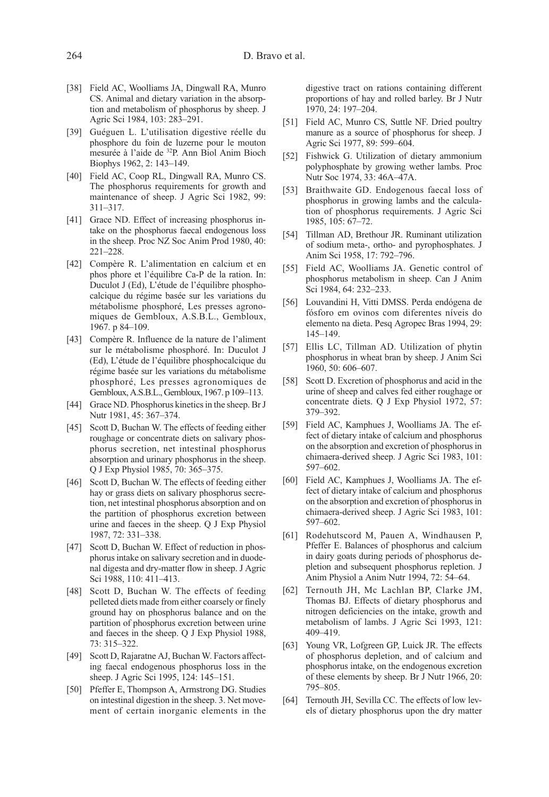- [38] Field AC, Woolliams JA, Dingwall RA, Munro CS. Animal and dietary variation in the absorption and metabolism of phosphorus by sheep. J Agric Sci 1984, 103: 283–291.
- [39] Guéguen L. L'utilisation digestive réelle du phosphore du foin de luzerne pour le mouton mesurée à l'aide de 32P. Ann Biol Anim Bioch Biophys 1962, 2: 143–149.
- [40] Field AC, Coop RL, Dingwall RA, Munro CS. The phosphorus requirements for growth and maintenance of sheep. J Agric Sci 1982, 99: 311–317.
- [41] Grace ND. Effect of increasing phosphorus intake on the phosphorus faecal endogenous loss in the sheep. Proc NZ Soc Anim Prod 1980, 40: 221–228.
- [42] Compère R. L'alimentation en calcium et en phos phore et l'équilibre Ca-P de la ration. In: Duculot J (Ed), L'étude de l'équilibre phosphocalcique du régime basée sur les variations du métabolisme phosphoré, Les presses agronomiques de Gembloux, A.S.B.L., Gembloux, 1967. p 84–109.
- [43] Compère R. Influence de la nature de l'aliment sur le métabolisme phosphoré. In: Duculot J (Ed), L'étude de l'équilibre phosphocalcique du régime basée sur les variations du métabolisme phosphoré, Les presses agronomiques de Gembloux, A.S.B.L., Gembloux, 1967. p 109–113.
- [44] Grace ND. Phosphorus kinetics in the sheep. Br J Nutr 1981, 45: 367–374.
- [45] Scott D, Buchan W. The effects of feeding either roughage or concentrate diets on salivary phosphorus secretion, net intestinal phosphorus absorption and urinary phosphorus in the sheep. Q J Exp Physiol 1985, 70: 365–375.
- [46] Scott D, Buchan W. The effects of feeding either hay or grass diets on salivary phosphorus secretion, net intestinal phosphorus absorption and on the partition of phosphorus excretion between urine and faeces in the sheep. Q J Exp Physiol 1987, 72: 331–338.
- [47] Scott D, Buchan W. Effect of reduction in phosphorus intake on salivary secretion and in duodenal digesta and dry-matter flow in sheep. J Agric Sci 1988, 110: 411–413.
- [48] Scott D, Buchan W. The effects of feeding pelleted diets made from either coarsely or finely ground hay on phosphorus balance and on the partition of phosphorus excretion between urine and faeces in the sheep. Q J Exp Physiol 1988, 73: 315–322.
- [49] Scott D, Rajaratne AJ, Buchan W, Factors affecting faecal endogenous phosphorus loss in the sheep. J Agric Sci 1995, 124: 145–151.
- [50] Pfeffer E, Thompson A, Armstrong DG. Studies on intestinal digestion in the sheep. 3. Net movement of certain inorganic elements in the

digestive tract on rations containing different proportions of hay and rolled barley. Br J Nutr 1970, 24: 197–204.

- [51] Field AC, Munro CS, Suttle NF. Dried poultry manure as a source of phosphorus for sheep. J Agric Sci 1977, 89: 599–604.
- [52] Fishwick G. Utilization of dietary ammonium polyphosphate by growing wether lambs. Proc Nutr Soc 1974, 33: 46A–47A.
- [53] Braithwaite GD. Endogenous faecal loss of phosphorus in growing lambs and the calculation of phosphorus requirements. J Agric Sci 1985, 105: 67–72.
- [54] Tillman AD, Brethour JR. Ruminant utilization of sodium meta-, ortho- and pyrophosphates. J Anim Sci 1958, 17: 792–796.
- [55] Field AC, Woolliams JA. Genetic control of phosphorus metabolism in sheep. Can J Anim Sci 1984, 64: 232–233.
- [56] Louvandini H, Vitti DMSS. Perda endógena de fósforo em ovinos com diferentes níveis do elemento na dieta. Pesq Agropec Bras 1994, 29: 145–149.
- [57] Ellis LC, Tillman AD. Utilization of phytin phosphorus in wheat bran by sheep. J Anim Sci 1960, 50: 606–607.
- [58] Scott D. Excretion of phosphorus and acid in the urine of sheep and calves fed either roughage or concentrate diets. Q J Exp Physiol 1972, 57: 379–392.
- [59] Field AC, Kamphues J, Woolliams JA. The effect of dietary intake of calcium and phosphorus on the absorption and excretion of phosphorus in chimaera-derived sheep. J Agric Sci 1983, 101: 597–602.
- [60] Field AC, Kamphues J, Woolliams JA. The effect of dietary intake of calcium and phosphorus on the absorption and excretion of phosphorus in chimaera-derived sheep. J Agric Sci 1983, 101: 597–602.
- [61] Rodehutscord M, Pauen A, Windhausen P, Pfeffer E. Balances of phosphorus and calcium in dairy goats during periods of phosphorus depletion and subsequent phosphorus repletion. J Anim Physiol a Anim Nutr 1994, 72: 54–64.
- [62] Ternouth JH, Mc Lachlan BP, Clarke JM, Thomas BJ. Effects of dietary phosphorus and nitrogen deficiencies on the intake, growth and metabolism of lambs. J Agric Sci 1993, 121: 409–419.
- [63] Young VR, Lofgreen GP, Luick JR. The effects of phosphorus depletion, and of calcium and phosphorus intake, on the endogenous excretion of these elements by sheep. Br J Nutr 1966, 20: 795–805.
- [64] Ternouth JH, Sevilla CC. The effects of low levels of dietary phosphorus upon the dry matter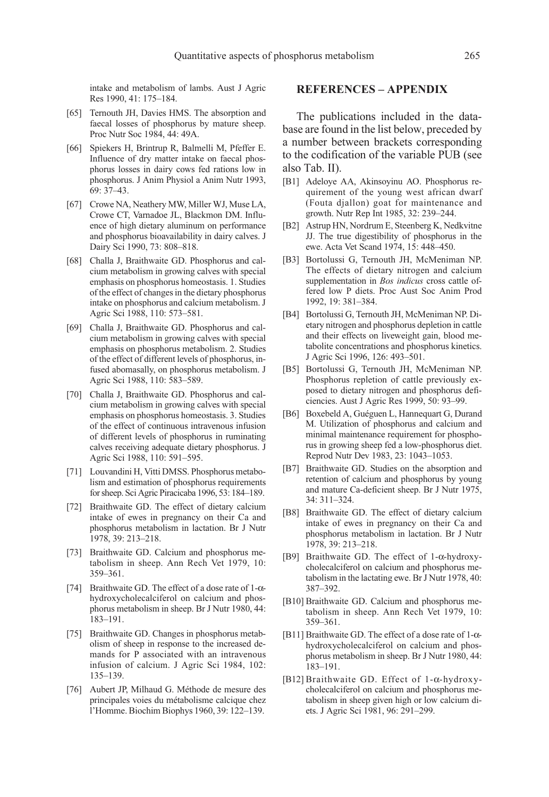intake and metabolism of lambs. Aust J Agric Res 1990, 41: 175–184.

- [65] Ternouth JH, Davies HMS. The absorption and faecal losses of phosphorus by mature sheep. Proc Nutr Soc 1984, 44: 49A.
- [66] Spiekers H, Brintrup R, Balmelli M, Pfeffer E. Influence of dry matter intake on faecal phosphorus losses in dairy cows fed rations low in phosphorus. J Anim Physiol a Anim Nutr 1993, 69: 37–43.
- [67] Crowe NA, Neathery MW, Miller WJ, Muse LA, Crowe CT, Varnadoe JL, Blackmon DM. Influence of high dietary aluminum on performance and phosphorus bioavailability in dairy calves. J Dairy Sci 1990, 73: 808–818.
- [68] Challa J, Braithwaite GD. Phosphorus and calcium metabolism in growing calves with special emphasis on phosphorus homeostasis. 1. Studies of the effect of changes in the dietary phosphorus intake on phosphorus and calcium metabolism. J Agric Sci 1988, 110: 573–581.
- [69] Challa J, Braithwaite GD. Phosphorus and calcium metabolism in growing calves with special emphasis on phosphorus metabolism. 2. Studies of the effect of different levels of phosphorus, infused abomasally, on phosphorus metabolism. J Agric Sci 1988, 110: 583–589.
- [70] Challa J, Braithwaite GD. Phosphorus and calcium metabolism in growing calves with special emphasis on phosphorus homeostasis. 3. Studies of the effect of continuous intravenous infusion of different levels of phosphorus in ruminating calves receiving adequate dietary phosphorus. J Agric Sci 1988, 110: 591–595.
- [71] Louvandini H, Vitti DMSS. Phosphorus metabolism and estimation of phosphorus requirements for sheep. Sci Agric Piracicaba 1996, 53: 184–189.
- [72] Braithwaite GD. The effect of dietary calcium intake of ewes in pregnancy on their Ca and phosphorus metabolism in lactation. Br J Nutr 1978, 39: 213–218.
- [73] Braithwaite GD. Calcium and phosphorus metabolism in sheep. Ann Rech Vet 1979, 10: 359–361.
- [74] Braithwaite GD. The effect of a dose rate of 1-αhydroxycholecalciferol on calcium and phosphorus metabolism in sheep. Br J Nutr 1980, 44: 183–191.
- [75] Braithwaite GD. Changes in phosphorus metabolism of sheep in response to the increased demands for P associated with an intravenous infusion of calcium. J Agric Sci 1984, 102: 135–139.
- [76] Aubert JP, Milhaud G. Méthode de mesure des principales voies du métabolisme calcique chez l'Homme. Biochim Biophys 1960, 39: 122–139.

## REFERENCES – APPENDIX

The publications included in the database are found in the list below, preceded by a number between brackets corresponding to the codification of the variable PUB (see also Tab. II).

- [B1] Adeloye AA, Akinsoyinu AO. Phosphorus requirement of the young west african dwarf (Fouta djallon) goat for maintenance and growth. Nutr Rep Int 1985, 32: 239–244.
- [B2] Astrup HN, Nordrum E, Steenberg K, Nedkvitne JJ. The true digestibility of phosphorus in the ewe. Acta Vet Scand 1974, 15: 448–450.
- [B3] Bortolussi G, Ternouth JH, McMeniman NP. The effects of dietary nitrogen and calcium supplementation in Bos indicus cross cattle offered low P diets. Proc Aust Soc Anim Prod 1992, 19: 381–384.
- [B4] Bortolussi G, Ternouth JH, McMeniman NP. Dietary nitrogen and phosphorus depletion in cattle and their effects on liveweight gain, blood metabolite concentrations and phosphorus kinetics. J Agric Sci 1996, 126: 493–501.
- [B5] Bortolussi G, Ternouth JH, McMeniman NP. Phosphorus repletion of cattle previously exposed to dietary nitrogen and phosphorus deficiencies. Aust J Agric Res 1999, 50: 93–99.
- [B6] Boxebeld A, Guéguen L, Hannequart G, Durand M. Utilization of phosphorus and calcium and minimal maintenance requirement for phosphorus in growing sheep fed a low-phosphorus diet. Reprod Nutr Dev 1983, 23: 1043–1053.
- [B7] Braithwaite GD. Studies on the absorption and retention of calcium and phosphorus by young and mature Ca-deficient sheep. Br J Nutr 1975, 34: 311–324.
- [B8] Braithwaite GD. The effect of dietary calcium intake of ewes in pregnancy on their Ca and phosphorus metabolism in lactation. Br J Nutr 1978, 39: 213–218.
- [B9] Braithwaite GD. The effect of 1-α-hydroxycholecalciferol on calcium and phosphorus metabolism in the lactating ewe. Br J Nutr 1978, 40: 387–392.
- [B10] Braithwaite GD. Calcium and phosphorus metabolism in sheep. Ann Rech Vet 1979, 10: 359–361.
- [B11] Braithwaite GD. The effect of a dose rate of 1-αhydroxycholecalciferol on calcium and phosphorus metabolism in sheep. Br J Nutr 1980, 44: 183–191.
- [B12] Braithwaite GD. Effect of 1-α-hydroxycholecalciferol on calcium and phosphorus metabolism in sheep given high or low calcium diets. J Agric Sci 1981, 96: 291–299.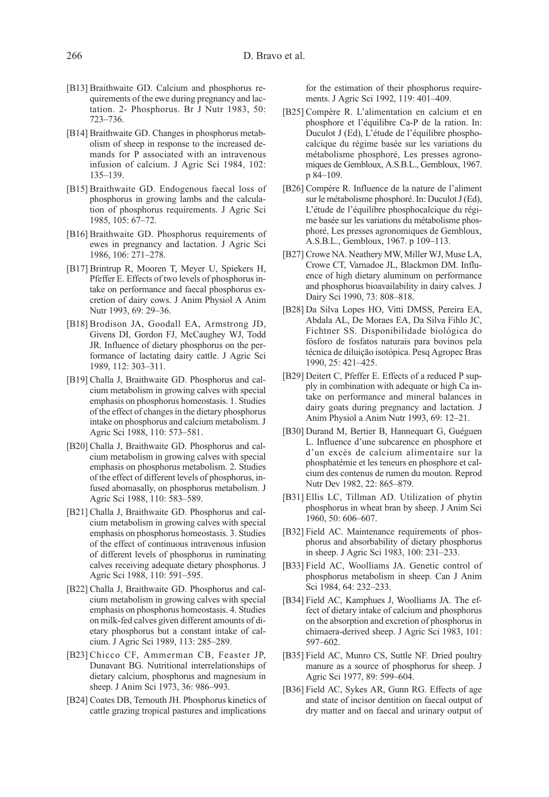- [B13] Braithwaite GD. Calcium and phosphorus requirements of the ewe during pregnancy and lactation. 2- Phosphorus. Br J Nutr 1983, 50: 723–736.
- [B14] Braithwaite GD. Changes in phosphorus metabolism of sheep in response to the increased demands for P associated with an intravenous infusion of calcium. J Agric Sci 1984, 102: 135–139.
- [B15] Braithwaite GD. Endogenous faecal loss of phosphorus in growing lambs and the calculation of phosphorus requirements. J Agric Sci 1985, 105: 67–72.
- [B16] Braithwaite GD. Phosphorus requirements of ewes in pregnancy and lactation. J Agric Sci 1986, 106: 271–278.
- [B17] Brintrup R, Mooren T, Meyer U, Spiekers H, Pfeffer E. Effects of two levels of phosphorus intake on performance and faecal phosphorus excretion of dairy cows. J Anim Physiol A Anim Nutr 1993, 69: 29–36.
- [B18] Brodison JA, Goodall EA, Armstrong JD, Givens DI, Gordon FJ, McCaughey WJ, Todd JR. Influence of dietary phosphorus on the performance of lactating dairy cattle. J Agric Sci 1989, 112: 303–311.
- [B19] Challa J, Braithwaite GD. Phosphorus and calcium metabolism in growing calves with special emphasis on phosphorus homeostasis. 1. Studies of the effect of changes in the dietary phosphorus intake on phosphorus and calcium metabolism. J Agric Sci 1988, 110: 573–581.
- [B20] Challa J, Braithwaite GD. Phosphorus and calcium metabolism in growing calves with special emphasis on phosphorus metabolism. 2. Studies of the effect of different levels of phosphorus, infused abomasally, on phosphorus metabolism. J Agric Sci 1988, 110: 583–589.
- [B21] Challa J, Braithwaite GD. Phosphorus and calcium metabolism in growing calves with special emphasis on phosphorus homeostasis. 3. Studies of the effect of continuous intravenous infusion of different levels of phosphorus in ruminating calves receiving adequate dietary phosphorus. J Agric Sci 1988, 110: 591–595.
- [B22] Challa J, Braithwaite GD. Phosphorus and calcium metabolism in growing calves with special emphasis on phosphorus homeostasis. 4. Studies on milk-fed calves given different amounts of dietary phosphorus but a constant intake of calcium. J Agric Sci 1989, 113: 285–289.
- [B23] Chicco CF, Ammerman CB, Feaster JP, Dunavant BG. Nutritional interrelationships of dietary calcium, phosphorus and magnesium in sheep. J Anim Sci 1973, 36: 986–993.
- [B24] Coates DB, Ternouth JH. Phosphorus kinetics of cattle grazing tropical pastures and implications

for the estimation of their phosphorus requirements. J Agric Sci 1992, 119: 401–409.

- [B25] Compère R. L'alimentation en calcium et en phosphore et l'équilibre Ca-P de la ration. In: Duculot J (Ed), L'étude de l'équilibre phosphocalcique du régime basée sur les variations du métabolisme phosphoré, Les presses agronomiques de Gembloux, A.S.B.L., Gembloux, 1967. p 84–109.
- [B26] Compère R. Influence de la nature de l'aliment sur le métabolisme phosphoré. In: Duculot J (Ed), L'étude de l'équilibre phosphocalcique du régime basée sur les variations du métabolisme phosphoré, Les presses agronomiques de Gembloux, A.S.B.L., Gembloux, 1967. p 109–113.
- [B27] Crowe NA. Neathery MW, Miller WJ, Muse LA, Crowe CT, Varnadoe JL, Blackmon DM. Influence of high dietary aluminum on performance and phosphorus bioavailability in dairy calves. J Dairy Sci 1990, 73: 808–818.
- [B28] Da Silva Lopes HO, Vitti DMSS, Pereira EA, Abdala AL, De Moraes EA, Da Silva Fihlo JC, Fichtner SS. Disponibilidade biológica do fósforo de fosfatos naturais para bovinos pela técnica de diluição isotópica. Pesq Agropec Bras 1990, 25: 421–425.
- [B29] Deitert C, Pfeffer E. Effects of a reduced P supply in combination with adequate or high Ca intake on performance and mineral balances in dairy goats during pregnancy and lactation. J Anim Physiol a Anim Nutr 1993, 69: 12–21.
- [B30] Durand M, Bertier B, Hannequart G, Guéguen L. Influence d'une subcarence en phosphore et d'un excès de calcium alimentaire sur la phosphatémie et les teneurs en phosphore et calcium des contenus de rumen du mouton. Reprod Nutr Dev 1982, 22: 865–879.
- [B31] Ellis LC, Tillman AD. Utilization of phytin phosphorus in wheat bran by sheep. J Anim Sci 1960, 50: 606–607.
- [B32] Field AC. Maintenance requirements of phosphorus and absorbability of dietary phosphorus in sheep. J Agric Sci 1983, 100: 231–233.
- [B33] Field AC, Woolliams JA. Genetic control of phosphorus metabolism in sheep. Can J Anim Sci 1984, 64: 232–233.
- [B34] Field AC, Kamphues J, Woolliams JA. The effect of dietary intake of calcium and phosphorus on the absorption and excretion of phosphorus in chimaera-derived sheep. J Agric Sci 1983, 101: 597–602.
- [B35] Field AC, Munro CS, Suttle NF. Dried poultry manure as a source of phosphorus for sheep. J Agric Sci 1977, 89: 599–604.
- [B36] Field AC, Sykes AR, Gunn RG. Effects of age and state of incisor dentition on faecal output of dry matter and on faecal and urinary output of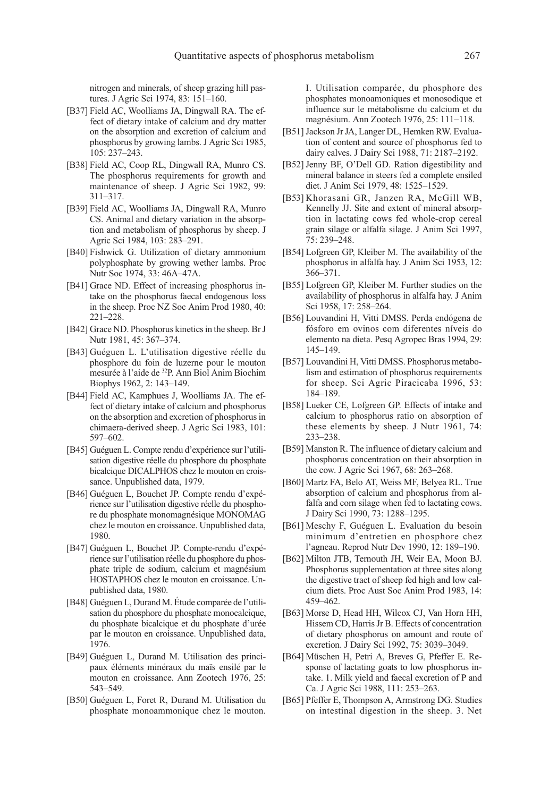nitrogen and minerals, of sheep grazing hill pastures. J Agric Sci 1974, 83: 151–160.

- [B37] Field AC, Woolliams JA, Dingwall RA. The effect of dietary intake of calcium and dry matter on the absorption and excretion of calcium and phosphorus by growing lambs. J Agric Sci 1985, 105: 237–243.
- [B38] Field AC, Coop RL, Dingwall RA, Munro CS. The phosphorus requirements for growth and maintenance of sheep. J Agric Sci 1982, 99: 311–317.
- [B39] Field AC, Woolliams JA, Dingwall RA, Munro CS. Animal and dietary variation in the absorption and metabolism of phosphorus by sheep. J Agric Sci 1984, 103: 283–291.
- [B40] Fishwick G. Utilization of dietary ammonium polyphosphate by growing wether lambs. Proc Nutr Soc 1974, 33: 46A–47A.
- [B41] Grace ND. Effect of increasing phosphorus intake on the phosphorus faecal endogenous loss in the sheep. Proc NZ Soc Anim Prod 1980, 40: 221–228.
- [B42] Grace ND. Phosphorus kinetics in the sheep. Br J Nutr 1981, 45: 367–374.
- [B43] Guéguen L. L'utilisation digestive réelle du phosphore du foin de luzerne pour le mouton mesurée à l'aide de 32P. Ann Biol Anim Biochim Biophys 1962, 2: 143–149.
- [B44] Field AC, Kamphues J, Woolliams JA. The effect of dietary intake of calcium and phosphorus on the absorption and excretion of phosphorus in chimaera-derived sheep. J Agric Sci 1983, 101: 597–602.
- [B45] Guéguen L. Compte rendu d'expérience sur l'utilisation digestive réelle du phosphore du phosphate bicalcique DICALPHOS chez le mouton en croissance. Unpublished data, 1979.
- [B46] Guéguen L, Bouchet JP. Compte rendu d'expérience sur l'utilisation digestive réelle du phosphore du phosphate monomagnésique MONOMAG chez le mouton en croissance. Unpublished data, 1980.
- [B47] Guéguen L, Bouchet JP. Compte-rendu d'expérience sur l'utilisation réelle du phosphore du phosphate triple de sodium, calcium et magnésium HOSTAPHOS chez le mouton en croissance. Unpublished data, 1980.
- [B48] Guéguen L, Durand M. Étude comparée de l'utilisation du phosphore du phosphate monocalcique, du phosphate bicalcique et du phosphate d'urée par le mouton en croissance. Unpublished data, 1976.
- [B49] Guéguen L, Durand M. Utilisation des principaux éléments minéraux du maïs ensilé par le mouton en croissance. Ann Zootech 1976, 25: 543–549.
- [B50] Guéguen L, Foret R, Durand M. Utilisation du phosphate monoammonique chez le mouton.

I. Utilisation comparée, du phosphore des phosphates monoamoniques et monosodique et influence sur le métabolisme du calcium et du magnésium. Ann Zootech 1976, 25: 111–118.

- [B51] Jackson Jr JA, Langer DL, Hemken RW. Evaluation of content and source of phosphorus fed to dairy calves. J Dairy Sci 1988, 71: 2187–2192.
- [B52] Jenny BF, O'Dell GD. Ration digestibility and mineral balance in steers fed a complete ensiled diet. J Anim Sci 1979, 48: 1525–1529.
- [B53] Khorasani GR, Janzen RA, McGill WB, Kennelly JJ. Site and extent of mineral absorption in lactating cows fed whole-crop cereal grain silage or alfalfa silage. J Anim Sci 1997, 75: 239–248.
- [B54] Lofgreen GP, Kleiber M. The availability of the phosphorus in alfalfa hay. J Anim Sci 1953, 12: 366–371.
- [B55] Lofgreen GP, Kleiber M. Further studies on the availability of phosphorus in alfalfa hay. J Anim Sci 1958, 17: 258–264.
- [B56] Louvandini H, Vitti DMSS. Perda endógena de fósforo em ovinos com diferentes níveis do elemento na dieta. Pesq Agropec Bras 1994, 29: 145–149.
- [B57] Louvandini H, Vitti DMSS. Phosphorus metabolism and estimation of phosphorus requirements for sheep. Sci Agric Piracicaba 1996, 53: 184–189.
- [B58] Lueker CE, Lofgreen GP. Effects of intake and calcium to phosphorus ratio on absorption of these elements by sheep. J Nutr 1961, 74: 233–238.
- [B59] Manston R. The influence of dietary calcium and phosphorus concentration on their absorption in the cow. J Agric Sci 1967, 68: 263–268.
- [B60] Martz FA, Belo AT, Weiss MF, Belyea RL. True absorption of calcium and phosphorus from alfalfa and corn silage when fed to lactating cows. J Dairy Sci 1990, 73: 1288–1295.
- [B61] Meschy F, Guéguen L. Evaluation du besoin minimum d'entretien en phosphore chez l'agneau. Reprod Nutr Dev 1990, 12: 189–190.
- [B62] Milton JTB, Ternouth JH, Weir EA, Moon BJ. Phosphorus supplementation at three sites along the digestive tract of sheep fed high and low calcium diets. Proc Aust Soc Anim Prod 1983, 14: 459–462.
- [B63] Morse D, Head HH, Wilcox CJ, Van Horn HH, Hissem CD, Harris Jr B. Effects of concentration of dietary phosphorus on amount and route of excretion. J Dairy Sci 1992, 75: 3039–3049.
- [B64] Müschen H, Petri A, Breves G, Pfeffer E. Response of lactating goats to low phosphorus intake. 1. Milk yield and faecal excretion of P and Ca. J Agric Sci 1988, 111: 253–263.
- [B65] Pfeffer E, Thompson A, Armstrong DG. Studies on intestinal digestion in the sheep. 3. Net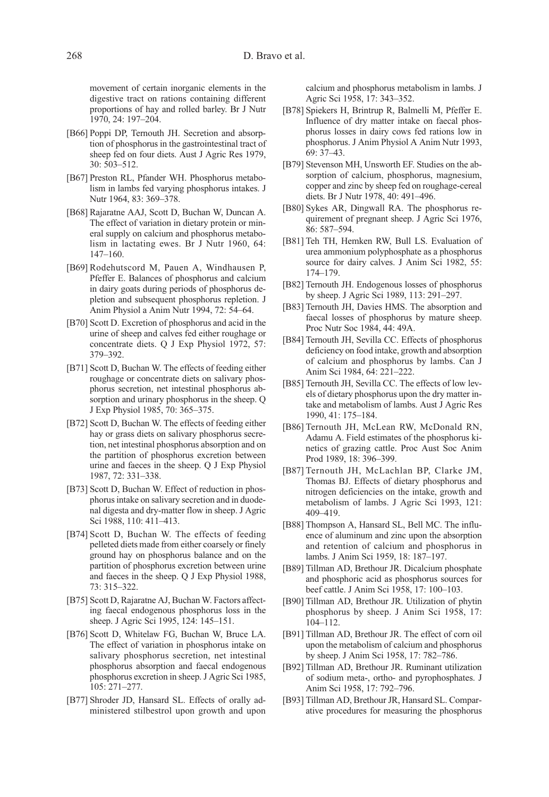movement of certain inorganic elements in the digestive tract on rations containing different proportions of hay and rolled barley. Br J Nutr 1970, 24: 197–204.

- [B66] Poppi DP, Ternouth JH. Secretion and absorption of phosphorus in the gastrointestinal tract of sheep fed on four diets. Aust J Agric Res 1979, 30: 503–512.
- [B67] Preston RL, Pfander WH. Phosphorus metabolism in lambs fed varying phosphorus intakes. J Nutr 1964, 83: 369–378.
- [B68] Rajaratne AAJ, Scott D, Buchan W, Duncan A. The effect of variation in dietary protein or mineral supply on calcium and phosphorus metabolism in lactating ewes. Br J Nutr 1960, 64: 147–160.
- [B69] Rodehutscord M, Pauen A, Windhausen P, Pfeffer E. Balances of phosphorus and calcium in dairy goats during periods of phosphorus depletion and subsequent phosphorus repletion. J Anim Physiol a Anim Nutr 1994, 72: 54–64.
- [B70] Scott D. Excretion of phosphorus and acid in the urine of sheep and calves fed either roughage or concentrate diets. Q J Exp Physiol 1972, 57: 379–392.
- [B71] Scott D, Buchan W. The effects of feeding either roughage or concentrate diets on salivary phosphorus secretion, net intestinal phosphorus absorption and urinary phosphorus in the sheep. Q J Exp Physiol 1985, 70: 365–375.
- [B72] Scott D, Buchan W. The effects of feeding either hay or grass diets on salivary phosphorus secretion, net intestinal phosphorus absorption and on the partition of phosphorus excretion between urine and faeces in the sheep. Q J Exp Physiol 1987, 72: 331–338.
- [B73] Scott D, Buchan W. Effect of reduction in phosphorus intake on salivary secretion and in duodenal digesta and dry-matter flow in sheep. J Agric Sci 1988, 110: 411–413.
- [B74] Scott D, Buchan W. The effects of feeding pelleted diets made from either coarsely or finely ground hay on phosphorus balance and on the partition of phosphorus excretion between urine and faeces in the sheep. Q J Exp Physiol 1988, 73: 315–322.
- [B75] Scott D, Rajaratne AJ, Buchan W. Factors affecting faecal endogenous phosphorus loss in the sheep. J Agric Sci 1995, 124: 145–151.
- [B76] Scott D, Whitelaw FG, Buchan W, Bruce LA. The effect of variation in phosphorus intake on salivary phosphorus secretion, net intestinal phosphorus absorption and faecal endogenous phosphorus excretion in sheep. J Agric Sci 1985, 105: 271–277.
- [B77] Shroder JD, Hansard SL. Effects of orally administered stilbestrol upon growth and upon

calcium and phosphorus metabolism in lambs. J Agric Sci 1958, 17: 343–352.

- [B78] Spiekers H, Brintrup R, Balmelli M, Pfeffer E. Influence of dry matter intake on faecal phosphorus losses in dairy cows fed rations low in phosphorus. J Anim Physiol A Anim Nutr 1993, 69: 37–43.
- [B79] Stevenson MH, Unsworth EF. Studies on the absorption of calcium, phosphorus, magnesium, copper and zinc by sheep fed on roughage-cereal diets. Br J Nutr 1978, 40: 491–496.
- [B80] Sykes AR, Dingwall RA. The phosphorus requirement of pregnant sheep. J Agric Sci 1976, 86: 587–594.
- [B81] Teh TH, Hemken RW, Bull LS. Evaluation of urea ammonium polyphosphate as a phosphorus source for dairy calves. J Anim Sci 1982, 55: 174–179.
- [B82] Ternouth JH. Endogenous losses of phosphorus by sheep. J Agric Sci 1989, 113: 291–297.
- [B83] Ternouth JH, Davies HMS. The absorption and faecal losses of phosphorus by mature sheep. Proc Nutr Soc 1984, 44: 49A.
- [B84] Ternouth JH, Sevilla CC. Effects of phosphorus deficiency on food intake, growth and absorption of calcium and phosphorus by lambs. Can J Anim Sci 1984, 64: 221–222.
- [B85] Ternouth JH, Sevilla CC. The effects of low levels of dietary phosphorus upon the dry matter intake and metabolism of lambs. Aust J Agric Res 1990, 41: 175–184.
- [B86] Ternouth JH, McLean RW, McDonald RN, Adamu A. Field estimates of the phosphorus kinetics of grazing cattle. Proc Aust Soc Anim Prod 1989, 18: 396–399.
- [B87] Ternouth JH, McLachlan BP, Clarke JM, Thomas BJ. Effects of dietary phosphorus and nitrogen deficiencies on the intake, growth and metabolism of lambs. J Agric Sci 1993, 121: 409–419.
- [B88] Thompson A, Hansard SL, Bell MC. The influence of aluminum and zinc upon the absorption and retention of calcium and phosphorus in lambs. J Anim Sci 1959, 18: 187–197.
- [B89] Tillman AD, Brethour JR. Dicalcium phosphate and phosphoric acid as phosphorus sources for beef cattle. J Anim Sci 1958, 17: 100–103.
- [B90] Tillman AD, Brethour JR. Utilization of phytin phosphorus by sheep. J Anim Sci 1958, 17: 104–112.
- [B91] Tillman AD, Brethour JR. The effect of corn oil upon the metabolism of calcium and phosphorus by sheep. J Anim Sci 1958, 17: 782–786.
- [B92] Tillman AD, Brethour JR. Ruminant utilization of sodium meta-, ortho- and pyrophosphates. J Anim Sci 1958, 17: 792–796.
- [B93] Tillman AD, Brethour JR, Hansard SL. Comparative procedures for measuring the phosphorus